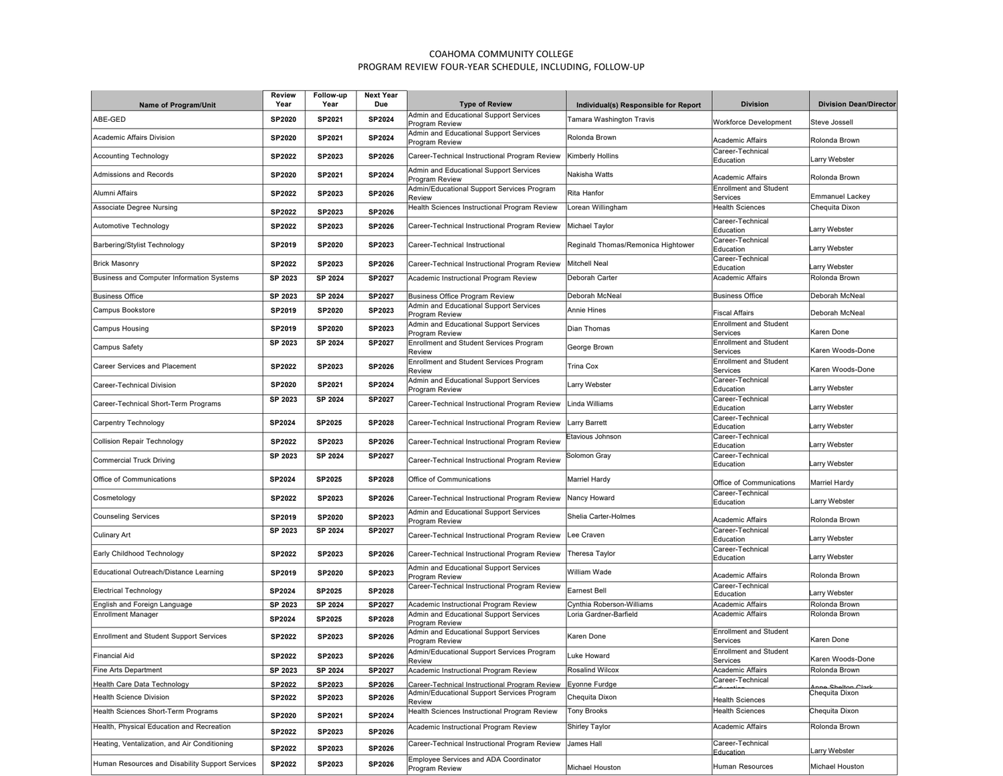## COAHOMA COMMUNITY COLLEGE PROGRAM REVIEW FOUR-YEAR SCHEDULE, INCLUDING, FOLLOW-UP

| Name of Program/Unit                            | Review<br>Year | Follow-up<br>Year | <b>Next Year</b><br>Due | <b>Type of Review</b>                                    | Individual(s) Responsible for Report | <b>Division</b>                           | <b>Division Dean/Director</b> |
|-------------------------------------------------|----------------|-------------------|-------------------------|----------------------------------------------------------|--------------------------------------|-------------------------------------------|-------------------------------|
|                                                 |                |                   |                         | Admin and Educational Support Services                   |                                      |                                           |                               |
| ABE-GED                                         | <b>SP2020</b>  | SP2021            | SP2024                  | Program Review                                           | Tamara Washington Travis             | <b>Workforce Development</b>              | Steve Jossell                 |
| Academic Affairs Division                       | <b>SP2020</b>  | SP2021            | SP2024                  | Admin and Educational Support Services<br>Program Review | Rolonda Brown                        | Academic Affairs                          | Rolonda Brown                 |
| <b>Accounting Technology</b>                    | <b>SP2022</b>  | SP2023            | SP2026                  | Career-Technical Instructional Program Review            | Kimberly Hollins                     | Career-Technical<br>Education             | Larry Webster                 |
| Admissions and Records                          | <b>SP2020</b>  | SP2021            | SP2024                  | Admin and Educational Support Services<br>Program Review | Nakisha Watts                        | Academic Affairs                          | Rolonda Brown                 |
| Alumni Affairs                                  | <b>SP2022</b>  | SP2023            | SP2026                  | Admin/Educational Support Services Program<br>Review     | Rita Hanfor                          | <b>Enrollment and Student</b><br>Services | <b>Emmanuel Lackey</b>        |
| <b>Associate Degree Nursing</b>                 | <b>SP2022</b>  | SP2023            | SP2026                  | Health Sciences Instructional Program Review             | orean Willingham                     | <b>Health Sciences</b>                    | Chequita Dixon                |
| Automotive Technology                           | SP2022         | SP2023            | SP2026                  | Career-Technical Instructional Program Review            | Michael Taylor                       | Career-Technical<br>Education             | Larry Webster                 |
| Barbering/Stylist Technology                    | SP2019         | SP2020            | SP2023                  | Career-Technical Instructional                           | Reginald Thomas/Remonica Hightower   | Career-Technical<br>Education             | Larry Webster                 |
| <b>Brick Masonry</b>                            | <b>SP2022</b>  | SP2023            | SP2026                  | Career-Technical Instructional Program Review            | <b>Mitchell Neal</b>                 | Career-Technical<br>Education             | Larry Webster                 |
| Business and Computer Information Systems       | SP 2023        | SP 2024           | SP2027                  | Academic Instructional Program Review                    | Deborah Carter                       | Academic Affairs                          | Rolonda Brown                 |
| <b>Business Office</b>                          | SP 2023        | SP 2024           | SP2027                  | <b>Business Office Program Review</b>                    | Deborah McNeal                       | <b>Business Office</b>                    | Deborah McNeal                |
| Campus Bookstore                                | SP2019         | SP2020            | SP2023                  | Admin and Educational Support Services<br>Program Review | Annie Hines                          | Fiscal Affairs                            | Deborah McNeal                |
| Campus Housing                                  | SP2019         | SP2020            | SP2023                  | Admin and Educational Support Services<br>Program Review | <b>Dian Thomas</b>                   | <b>Enrollment and Student</b><br>Services | Karen Done                    |
| Campus Safety                                   | SP 2023        | SP 2024           | SP2027                  | <b>Enrollment and Student Services Program</b><br>Review | George Brown                         | <b>Enrollment and Student</b><br>Services | Karen Woods-Done              |
| Career Services and Placement                   | <b>SP2022</b>  | SP2023            | SP2026                  | <b>Enrollment and Student Services Program</b><br>Review | Trina Cox                            | <b>Enrollment and Student</b><br>Services | Karen Woods-Done              |
| Career-Technical Division                       | <b>SP2020</b>  | SP2021            | SP2024                  | Admin and Educational Support Services<br>Program Review | Larry Webster                        | Career-Technical<br>Education             | Larry Webster                 |
| Career-Technical Short-Term Programs            | SP 2023        | SP 2024           | SP2027                  | Career-Technical Instructional Program Review            | Linda Williams                       | Career-Technical<br>Education             | Larry Webster                 |
| Carpentry Technology                            | SP2024         | SP2025            | SP2028                  | Career-Technical Instructional Program Review            | arry Barrett                         | Career-Technical<br>Education             | Larry Webster                 |
| <b>Collision Repair Technology</b>              | <b>SP2022</b>  | SP2023            | SP2026                  | Career-Technical Instructional Program Review            | Etavious Johnson                     | Career-Technical<br>Education             | Larry Webster                 |
| <b>Commercial Truck Driving</b>                 | SP 2023        | SP 2024           | <b>SP2027</b>           | Career-Technical Instructional Program Review            | Solomon Gray                         | Career-Technical<br>Education             | Larry Webster                 |
| Office of Communications                        | SP2024         | <b>SP2025</b>     | SP2028                  | Office of Communications                                 | Marriel Hardy                        | Office of Communications                  | <b>Marriel Hardy</b>          |
| Cosmetology                                     | <b>SP2022</b>  | SP2023            | SP2026                  | Career-Technical Instructional Program Review            | Nancy Howard                         | Career-Technical<br>Education             | Larry Webster                 |
| <b>Counseling Services</b>                      | <b>SP2019</b>  | SP2020            | SP2023                  | Admin and Educational Support Services<br>Program Review | Shelia Carter-Holmes                 | Academic Affairs                          | Rolonda Brown                 |
| <b>Culinary Art</b>                             | SP 2023        | SP 2024           | SP2027                  | Career-Technical Instructional Program Review            | Lee Craven                           | Career-Technical<br>Education             | Larry Webster                 |
| Early Childhood Technology                      | SP2022         | SP2023            | SP2026                  | Career-Technical Instructional Program Review            | Theresa Taylor                       | Career-Technical<br>Education             | Larry Webster                 |
| Educational Outreach/Distance Learning          | SP2019         | SP2020            | SP2023                  | Admin and Educational Support Services<br>Program Review | William Wade                         | Academic Affairs                          | Rolonda Brown                 |
| <b>Electrical Technology</b>                    | SP2024         | SP2025            | <b>SP2028</b>           | Career-Technical Instructional Program Review            | Earnest Bell                         | Career-Technical<br>Education             | Larry Webster                 |
| English and Foreign Language                    | SP 2023        | SP 2024           | SP2027                  | Academic Instructional Program Review                    | Cynthia Roberson-Williams            | <b>Academic Affairs</b>                   | Rolonda Brown                 |
| <b>Enrollment Manager</b>                       | SP2024         | <b>SP2025</b>     | SP2028                  | Admin and Educational Support Services<br>Program Review | Loria Gardner-Barfield               | <b>Academic Affairs</b>                   | Rolonda Brown                 |
| <b>Enrollment and Student Support Services</b>  | <b>SP2022</b>  | SP2023            | SP2026                  | Admin and Educational Support Services<br>Program Review | Karen Done                           | <b>Enrollment and Student</b><br>Services | Karen Done                    |
| <b>Financial Aid</b>                            | SP2022         | SP2023            | SP2026                  | Admin/Educational Support Services Program<br>Review     | Luke Howard                          | <b>Enrollment and Student</b><br>Services | Karen Woods-Done              |
| <b>Fine Arts Department</b>                     | SP 2023        | SP 2024           | SP2027                  | Academic Instructional Program Review                    | Rosalind Wilcox                      | Academic Affairs                          | Rolonda Brown                 |
| Health Care Data Technology                     | SP2022         | SP2023            | SP2026                  | Career-Technical Instructional Program Review            | Eyonne Furdge                        | Career-Technical                          | Anne Shelton Clarl            |
| <b>Health Science Division</b>                  | <b>SP2022</b>  | SP2023            | SP2026                  | Admin/Educational Support Services Program<br>Review     | Chequita Dixon                       | <b>Health Sciences</b>                    | Chequita Dixon                |
| Health Sciences Short-Term Programs             | SP2020         | SP2021            | SP2024                  | Health Sciences Instructional Program Review             | <b>Tony Brooks</b>                   | <b>Health Sciences</b>                    | Chequita Dixon                |
| Health, Physical Education and Recreation       | SP2022         | SP2023            | SP2026                  | Academic Instructional Program Review                    | Shirley Taylor                       | <b>Academic Affairs</b>                   | Rolonda Brown                 |
| Heating, Ventalization, and Air Conditioning    | SP2022         | SP2023            | SP2026                  | Career-Technical Instructional Program Review            | James Hall                           | Career-Technical<br>Education             | Larry Webster                 |
| Human Resources and Disability Support Services | <b>SP2022</b>  | SP2023            | SP2026                  | Employee Services and ADA Coordinator<br>Program Review  | Michael Houston                      | Human Resources                           | Michael Houston               |